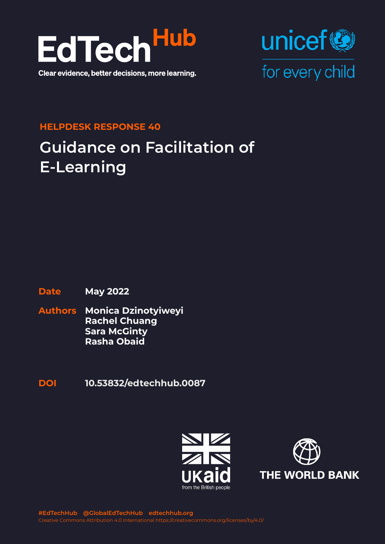



#### **HELPDESK RESPONSE 40**

# **Guidance on Facilitation of E-Learning**

#### **Date May 2022**

- **Authors Monica Dzinotyiweyi Rachel Chuang Sara McGinty Rasha Obaid**
- **DOI [10.53832/edtechhub.00](https://doi.org/10.53832/edtechhub.0087)87**



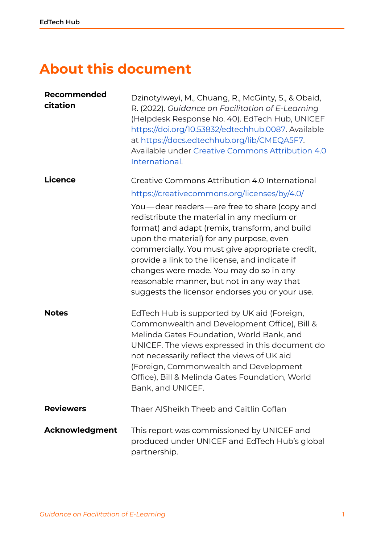## **About this document**

| Recommended<br>citation | Dzinotyiweyi, M., Chuang, R., McGinty, S., & Obaid,<br>R. (2022). Guidance on Facilitation of E-Learning<br>(Helpdesk Response No. 40). EdTech Hub, UNICEF<br>https://doi.org/10.53832/edtechhub.0087. Available<br>at https://docs.edtechhub.org/lib/CMEQA5F7.<br>Available under Creative Commons Attribution 4.0<br>International.                                                                                                     |
|-------------------------|-------------------------------------------------------------------------------------------------------------------------------------------------------------------------------------------------------------------------------------------------------------------------------------------------------------------------------------------------------------------------------------------------------------------------------------------|
| Licence                 | Creative Commons Attribution 4.0 International                                                                                                                                                                                                                                                                                                                                                                                            |
|                         | https://creativecommons.org/licenses/by/4.0/                                                                                                                                                                                                                                                                                                                                                                                              |
|                         | You-dear readers-are free to share (copy and<br>redistribute the material in any medium or<br>format) and adapt (remix, transform, and build<br>upon the material) for any purpose, even<br>commercially. You must give appropriate credit,<br>provide a link to the license, and indicate if<br>changes were made. You may do so in any<br>reasonable manner, but not in any way that<br>suggests the licensor endorses you or your use. |
| <b>Notes</b>            | EdTech Hub is supported by UK aid (Foreign,<br>Commonwealth and Development Office), Bill &<br>Melinda Gates Foundation, World Bank, and<br>UNICEF. The views expressed in this document do<br>not necessarily reflect the views of UK aid<br>(Foreign, Commonwealth and Development<br>Office), Bill & Melinda Gates Foundation, World<br>Bank, and UNICEF.                                                                              |
| <b>Reviewers</b>        | Thaer AlSheikh Theeb and Caitlin Coflan                                                                                                                                                                                                                                                                                                                                                                                                   |
| Acknowledgment          | This report was commissioned by UNICEF and<br>produced under UNICEF and EdTech Hub's global<br>partnership.                                                                                                                                                                                                                                                                                                                               |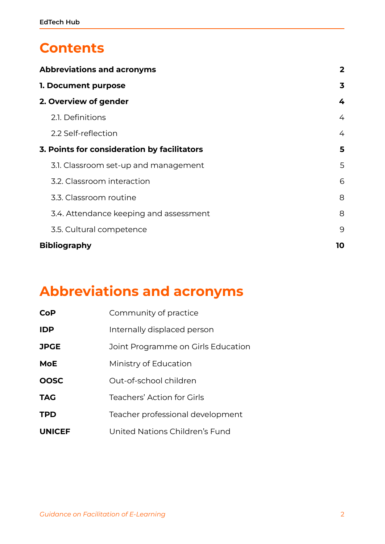### **Contents**

| <b>Abbreviations and acronyms</b>           | $\overline{2}$ |
|---------------------------------------------|----------------|
| 1. Document purpose                         |                |
| 2. Overview of gender                       | 4              |
| 2.1. Definitions                            | 4              |
| 2.2 Self-reflection                         | 4              |
| 3. Points for consideration by facilitators | 5              |
| 3.1. Classroom set-up and management        | 5              |
| 3.2. Classroom interaction                  | 6              |
| 3.3. Classroom routine                      | 8              |
| 3.4. Attendance keeping and assessment      | 8              |
| 3.5. Cultural competence                    | 9              |
| <b>Bibliography</b>                         |                |

## <span id="page-2-0"></span>**Abbreviations and acronyms**

| CoP           | Community of practice              |
|---------------|------------------------------------|
| <b>IDP</b>    | Internally displaced person        |
| <b>JPGE</b>   | Joint Programme on Girls Education |
| <b>MoE</b>    | Ministry of Education              |
| <b>OOSC</b>   | Out-of-school children             |
| <b>TAG</b>    | Teachers' Action for Girls         |
| <b>TPD</b>    | Teacher professional development   |
| <b>UNICEF</b> | United Nations Children's Fund     |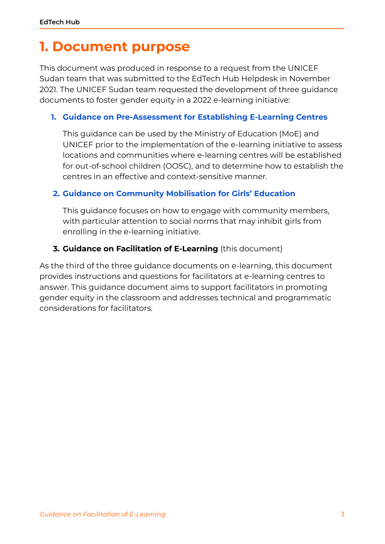## <span id="page-3-0"></span>**1. Document purpose**

This document was produced in response to a request from the UNICEF Sudan team that was submitted to the EdTech Hub Helpdesk in November 2021. The UNICEF Sudan team requested the development of three guidance documents to foster gender equity in a 2022 e-learning initiative:

#### **1. Guidance on [Pre-Assessment](https://ref.opendeved.net/zo/zg/2405685/7/DPWSAA9Z/anon.%20(2022)?src=2405685:CMEQA5F7) for Establishing E-Learning Centres**

This guidance can be used by the Ministry of Education (MoE) and UNICEF prior to the implementation of the e-learning initiative to assess locations and communities where e-learning centres will be established for out-of-school children (OOSC), and to determine how to establish the centres in an effective and context-sensitive manner.

#### **[2.](https://ref.opendeved.net/zo/zg/2405685/7/FVSQD8MB/) Guidance on Community [Mobilisation](https://ref.opendeved.net/zo/zg/2405685/7/FVSQD8MB/ThaerAlSheikhTheeb%20et%20al.%20(2022)?src=2405685:CMEQA5F7) for Girls' Education**

This guidance focuses on how to engage with community members, with particular attention to social norms that may inhibit girls from enrolling in the e-learning initiative.

#### **3. Guidance on Facilitation of E-Learning** (this document)

As the third of the three guidance documents on e-learning, this document provides instructions and questions for facilitators at e-learning centres to answer. This guidance document aims to support facilitators in promoting gender equity in the classroom and addresses technical and programmatic considerations for facilitators.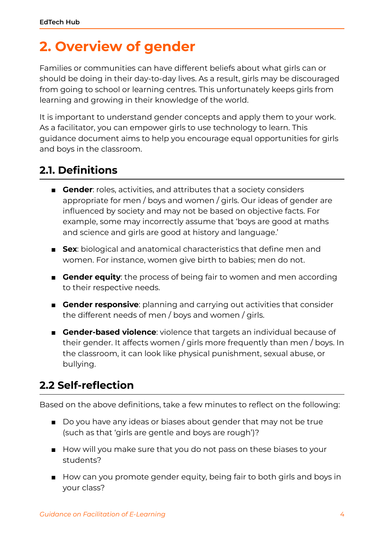## <span id="page-4-0"></span>**2. Overview of gender**

Families or communities can have different beliefs about what girls can or should be doing in their day-to-day lives. As a result, girls may be discouraged from going to school or learning centres. This unfortunately keeps girls from learning and growing in their knowledge of the world.

It is important to understand gender concepts and apply them to your work. As a facilitator, you can empower girls to use technology to learn. This guidance document aims to help you encourage equal opportunities for girls and boys in the classroom.

### <span id="page-4-1"></span>**2.1. Definitions**

- **Gender**: roles, activities, and attributes that a society considers appropriate for men / boys and women / girls. Our ideas of gender are influenced by society and may not be based on objective facts. For example, some may incorrectly assume that 'boys are good at maths and science and girls are good at history and language.'
- **Sex**: biological and anatomical characteristics that define men and women. For instance, women give birth to babies; men do not.
- **Gender equity**: the process of being fair to women and men according to their respective needs.
- **Gender responsive**: planning and carrying out activities that consider the different needs of men / boys and women / girls.
- **Gender-based violence**: violence that targets an individual because of their gender. It affects women / girls more frequently than men / boys. In the classroom, it can look like physical punishment, sexual abuse, or bullying.

### <span id="page-4-2"></span>**2.2 Self-reflection**

Based on the above definitions, take a few minutes to reflect on the following:

- Do you have any ideas or biases about gender that may not be true (such as that 'girls are gentle and boys are rough')?
- How will you make sure that you do not pass on these biases to your students?
- How can you promote gender equity, being fair to both girls and boys in your class?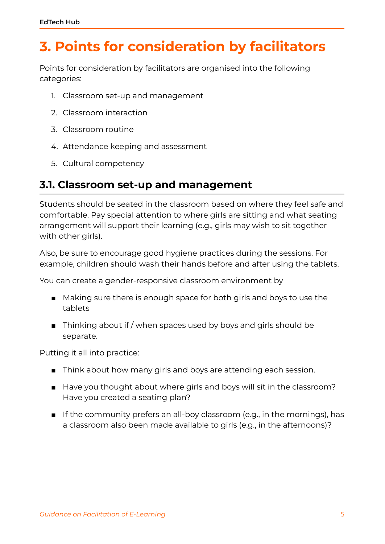## <span id="page-5-0"></span>**3. Points for consideration by facilitators**

Points for consideration by facilitators are organised into the following categories:

- 1. Classroom set-up and management
- 2. Classroom interaction
- 3. Classroom routine
- 4. Attendance keeping and assessment
- 5. Cultural competency

#### <span id="page-5-1"></span>**3.1. Classroom set-up and management**

Students should be seated in the classroom based on where they feel safe and comfortable. Pay special attention to where girls are sitting and what seating arrangement will support their learning (e.g., girls may wish to sit together with other girls).

Also, be sure to encourage good hygiene practices during the sessions. For example, children should wash their hands before and after using the tablets.

You can create a gender-responsive classroom environment by

- Making sure there is enough space for both girls and boys to use the tablets
- Thinking about if / when spaces used by boys and girls should be separate.

Putting it all into practice:

- Think about how many girls and boys are attending each session.
- Have you thought about where girls and boys will sit in the classroom? Have you created a seating plan?
- If the community prefers an all-boy classroom (e.g., in the mornings), has a classroom also been made available to girls (e.g., in the afternoons)?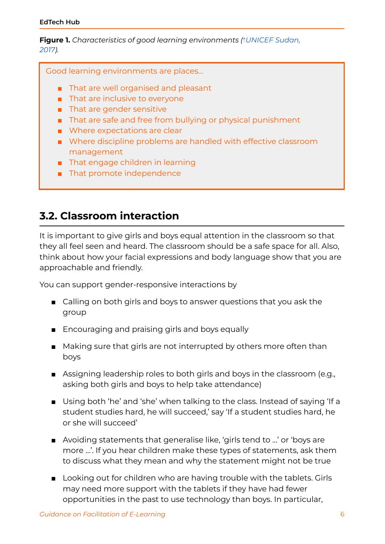**Figure 1.** *Characteristics of good learning environments (*⇡*[UNICEF](https://ref.opendeved.net/zo/zg/2405685/7/RDU7FPCF/UNICEF%20Sudan,%202017?src=2405685:CMEQA5F7) Sudan, [2017](https://ref.opendeved.net/zo/zg/2405685/7/RDU7FPCF/UNICEF%20Sudan,%202017?src=2405685:CMEQA5F7)).*

Good learning environments are places…

- That are well organised and pleasant
- That are inclusive to everyone
- That are gender sensitive
- That are safe and free from bullying or physical punishment
- Where expectations are clear
- Where discipline problems are handled with effective classroom management
- That engage children in learning
- That promote independence

#### <span id="page-6-0"></span>**3.2. Classroom interaction**

It is important to give girls and boys equal attention in the classroom so that they all feel seen and heard. The classroom should be a safe space for all. Also, think about how your facial expressions and body language show that you are approachable and friendly.

You can support gender-responsive interactions by

- Calling on both girls and boys to answer questions that you ask the group
- Encouraging and praising girls and boys equally
- Making sure that girls are not interrupted by others more often than boys
- Assigning leadership roles to both girls and boys in the classroom (e.g., asking both girls and boys to help take attendance)
- Using both 'he' and 'she' when talking to the class. Instead of saying 'If a student studies hard, he will succeed,' say 'If a student studies hard, he or she will succeed'
- Avoiding statements that generalise like, 'girls tend to ...' or 'boys are more …'. If you hear children make these types of statements, ask them to discuss what they mean and why the statement might not be true
- Looking out for children who are having trouble with the tablets. Girls may need more support with the tablets if they have had fewer opportunities in the past to use technology than boys. In particular,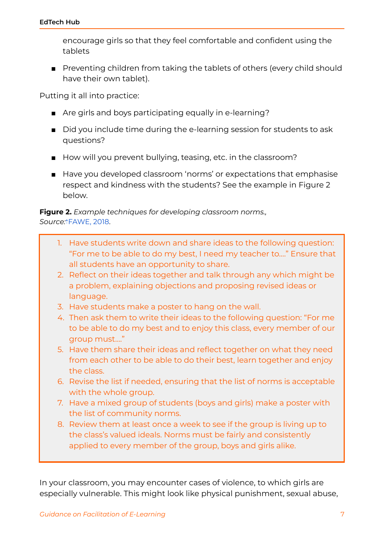encourage girls so that they feel comfortable and confident using the tablets

■ Preventing children from taking the tablets of others (every child should have their own tablet).

Putting it all into practice:

- Are girls and boys participating equally in e-learning?
- Did you include time during the e-learning session for students to ask questions?
- How will you prevent bullying, teasing, etc. in the classroom?
- Have you developed classroom 'norms' or expectations that emphasise respect and kindness with the students? See the example in Figure 2 below.

**Figure 2.** *Example techniques for developing classroom norms., Source:*⇡[FAWE,](https://ref.opendeved.net/zo/zg/2405685/7/WMBZ8VMB/FAWE,%202018?src=2405685:CMEQA5F7) 2018.

- 1. Have students write down and share ideas to the following question: "For me to be able to do my best, I need my teacher to…." Ensure that all students have an opportunity to share.
- 2. Reflect on their ideas together and talk through any which might be a problem, explaining objections and proposing revised ideas or language.
- 3. Have students make a poster to hang on the wall.
- 4. Then ask them to write their ideas to the following question: "For me to be able to do my best and to enjoy this class, every member of our group must…."
- 5. Have them share their ideas and reflect together on what they need from each other to be able to do their best, learn together and enjoy the class.
- 6. Revise the list if needed, ensuring that the list of norms is acceptable with the whole group.
- 7. Have a mixed group of students (boys and girls) make a poster with the list of community norms.
- 8. Review them at least once a week to see if the group is living up to the class's valued ideals. Norms must be fairly and consistently applied to every member of the group, boys and girls alike.

In your classroom, you may encounter cases of violence, to which girls are especially vulnerable. This might look like physical punishment, sexual abuse,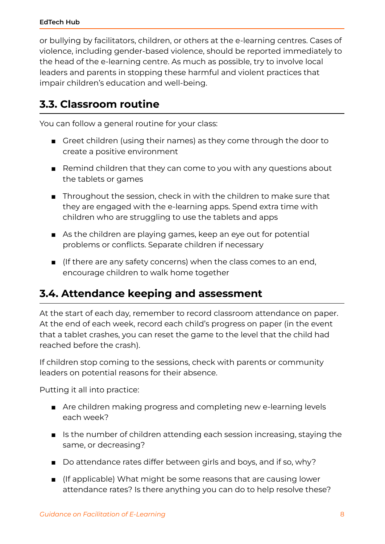or bullying by facilitators, children, or others at the e-learning centres. Cases of violence, including gender-based violence, should be reported immediately to the head of the e-learning centre. As much as possible, try to involve local leaders and parents in stopping these harmful and violent practices that impair children's education and well-being.

### <span id="page-8-0"></span>**3.3. Classroom routine**

You can follow a general routine for your class:

- Greet children (using their names) as they come through the door to create a positive environment
- Remind children that they can come to you with any questions about the tablets or games
- Throughout the session, check in with the children to make sure that they are engaged with the e-learning apps. Spend extra time with children who are struggling to use the tablets and apps
- As the children are playing games, keep an eye out for potential problems or conflicts. Separate children if necessary
- (If there are any safety concerns) when the class comes to an end, encourage children to walk home together

### <span id="page-8-1"></span>**3.4. Attendance keeping and assessment**

At the start of each day, remember to record classroom attendance on paper. At the end of each week, record each child's progress on paper (in the event that a tablet crashes, you can reset the game to the level that the child had reached before the crash).

If children stop coming to the sessions, check with parents or community leaders on potential reasons for their absence.

Putting it all into practice:

- Are children making progress and completing new e-learning levels each week?
- Is the number of children attending each session increasing, staying the same, or decreasing?
- Do attendance rates differ between girls and boys, and if so, whv?
- (If applicable) What might be some reasons that are causing lower attendance rates? Is there anything you can do to help resolve these?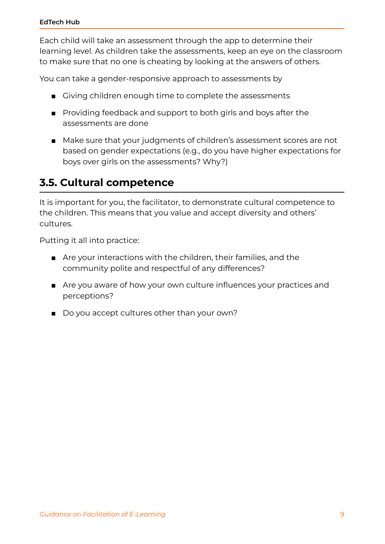Each child will take an assessment through the app to determine their learning level. As children take the assessments, keep an eye on the classroom to make sure that no one is cheating by looking at the answers of others.

You can take a gender-responsive approach to assessments by

- Giving children enough time to complete the assessments
- Providing feedback and support to both girls and boys after the assessments are done
- Make sure that your judgments of children's assessment scores are not based on gender expectations (e.g., do you have higher expectations for boys over girls on the assessments? Why?)

### <span id="page-9-0"></span>**3.5. Cultural competence**

It is important for you, the facilitator, to demonstrate cultural competence to the children. This means that you value and accept diversity and others' cultures.

Putting it all into practice:

- Are your interactions with the children, their families, and the community polite and respectful of any differences?
- Are you aware of how your own culture influences your practices and perceptions?
- Do you accept cultures other than your own?